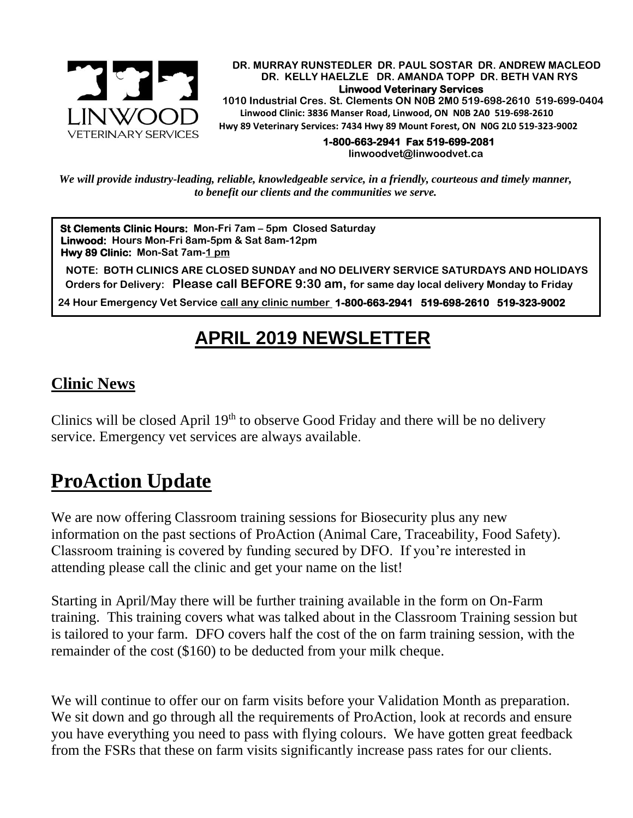

 **DR. MURRAY RUNSTEDLER DR. PAUL SOSTAR DR. ANDREW MACLEOD DR. KELLY HAELZLE DR. AMANDA TOPP DR. BETH VAN RYS Linwood Veterinary Services** 

 **1010 Industrial Cres. St. Clements ON N0B 2M0 519-698-2610 519-699-0404 Linwood Clinic: 3836 Manser Road, Linwood, ON N0B 2A0 519-698-2610 Hwy 89 Veterinary Services: 7434 Hwy 89 Mount Forest, ON N0G 2L0 519-323-9002**

> **1-800-663-2941 Fax 519-699-2081 [linwoodvet@linwoodvet.ca](mailto:linwoodvet@linwoodvet.ca)**

*We will provide industry-leading, reliable, knowledgeable service, in a friendly, courteous and timely manner, to benefit our clients and the communities we serve.*

**St Clements Clinic Hours: Mon-Fri 7am – 5pm Closed Saturday Linwood: Hours Mon-Fri 8am-5pm & Sat 8am-12pm Hwy 89 Clinic: Mon-Sat 7am-1 pm**

 **NOTE: BOTH CLINICS ARE CLOSED SUNDAY and NO DELIVERY SERVICE SATURDAYS AND HOLIDAYS Orders for Delivery: Please call BEFORE 9:30 am, for same day local delivery Monday to Friday** 

 **24 Hour Emergency Vet Service call any clinic number 1-800-663-2941 519-698-2610 519-323-9002**

### **APRIL 2019 NEWSLETTER**

### **Clinic News**

Clinics will be closed April  $19<sup>th</sup>$  to observe Good Friday and there will be no delivery service. Emergency vet services are always available.

# **ProAction Update**

We are now offering Classroom training sessions for Biosecurity plus any new information on the past sections of ProAction (Animal Care, Traceability, Food Safety). Classroom training is covered by funding secured by DFO. If you're interested in attending please call the clinic and get your name on the list!

Starting in April/May there will be further training available in the form on On-Farm training. This training covers what was talked about in the Classroom Training session but is tailored to your farm. DFO covers half the cost of the on farm training session, with the remainder of the cost (\$160) to be deducted from your milk cheque.

We will continue to offer our on farm visits before your Validation Month as preparation. We sit down and go through all the requirements of ProAction, look at records and ensure you have everything you need to pass with flying colours. We have gotten great feedback from the FSRs that these on farm visits significantly increase pass rates for our clients.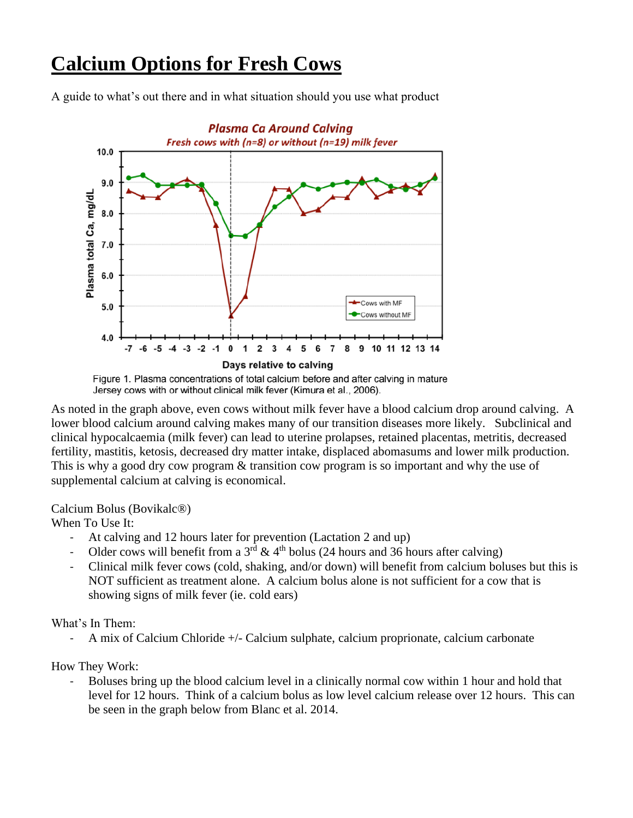# **Calcium Options for Fresh Cows**

A guide to what's out there and in what situation should you use what product



Figure 1. Plasma concentrations of total calcium before and after calving in mature Jersey cows with or without clinical milk fever (Kimura et al., 2006).

As noted in the graph above, even cows without milk fever have a blood calcium drop around calving. A lower blood calcium around calving makes many of our transition diseases more likely. Subclinical and clinical hypocalcaemia (milk fever) can lead to uterine prolapses, retained placentas, metritis, decreased fertility, mastitis, ketosis, decreased dry matter intake, displaced abomasums and lower milk production. This is why a good dry cow program & transition cow program is so important and why the use of supplemental calcium at calving is economical.

Calcium Bolus (Bovikalc®)

When To Use It:

- At calving and 12 hours later for prevention (Lactation 2 and up)
- Older cows will benefit from a  $3^{rd}$  & 4<sup>th</sup> bolus (24 hours and 36 hours after calving)
- Clinical milk fever cows (cold, shaking, and/or down) will benefit from calcium boluses but this is NOT sufficient as treatment alone. A calcium bolus alone is not sufficient for a cow that is showing signs of milk fever (ie. cold ears)

### What's In Them:

- A mix of Calcium Chloride +/- Calcium sulphate, calcium proprionate, calcium carbonate

How They Work:

- Boluses bring up the blood calcium level in a clinically normal cow within 1 hour and hold that level for 12 hours. Think of a calcium bolus as low level calcium release over 12 hours. This can be seen in the graph below from Blanc et al. 2014.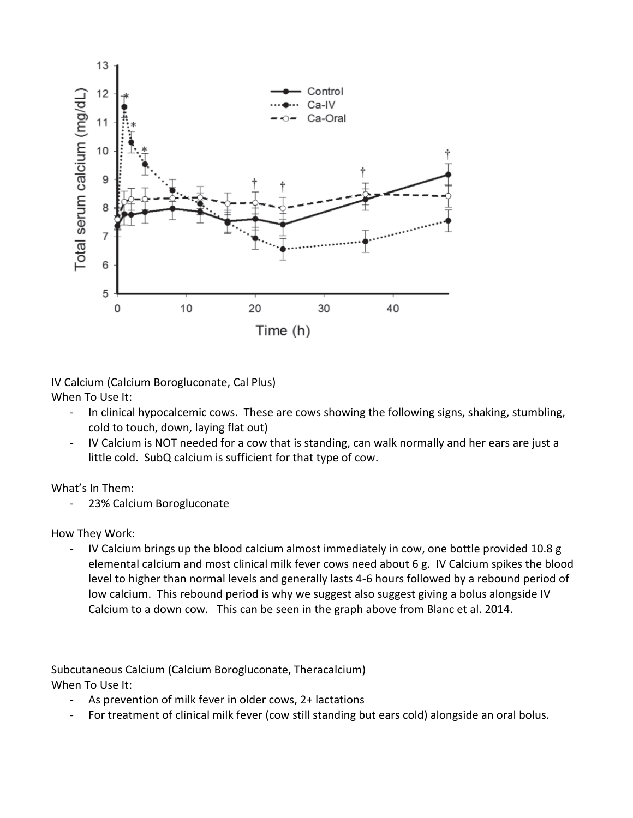

IV Calcium (Calcium Borogluconate, Cal Plus) When To Use It:

- In clinical hypocalcemic cows. These are cows showing the following signs, shaking, stumbling, cold to touch, down, laying flat out)
- IV Calcium is NOT needed for a cow that is standing, can walk normally and her ears are just a little cold. SubQ calcium is sufficient for that type of cow.

What's In Them:

- 23% Calcium Borogluconate

How They Work:

- IV Calcium brings up the blood calcium almost immediately in cow, one bottle provided 10.8 g elemental calcium and most clinical milk fever cows need about 6 g. IV Calcium spikes the blood level to higher than normal levels and generally lasts 4-6 hours followed by a rebound period of low calcium. This rebound period is why we suggest also suggest giving a bolus alongside IV Calcium to a down cow. This can be seen in the graph above from Blanc et al. 2014.

Subcutaneous Calcium (Calcium Borogluconate, Theracalcium) When To Use It:

- As prevention of milk fever in older cows, 2+ lactations
- For treatment of clinical milk fever (cow still standing but ears cold) alongside an oral bolus.